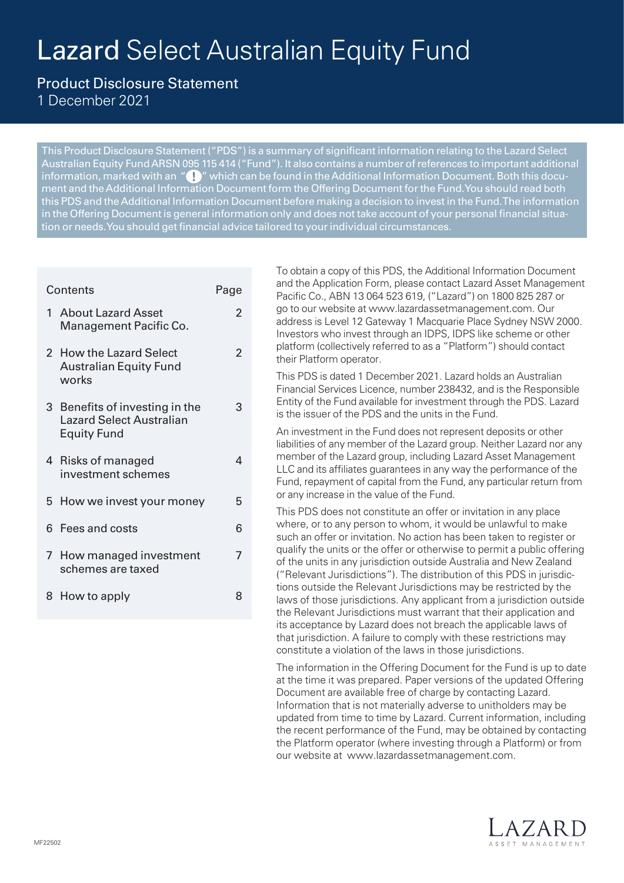# Lazard Select Australian Equity Fund

 $\mathfrak{p}$ 

 $\overline{2}$ 

Product Disclosure Statement

1 December 2021

This Product Disclosure Statement ("PDS") is a summary of significant information relating to the Lazard Select Australian Equity Fund ARSN 095 115 414 ("Fund"). It also contains a number of references to important additional information, marked with an " $\bigoplus$  " which can be found in the Additional Information Document. Both this document and the Additional Information Document form the Offering Document for the Fund. You should read both this PDS and the Additional Information Document before making a decision to invest in the Fund. The information in the Offering Document is general information only and does not take account of your personal financial situation or needs. You should get financial advice tailored to your individual circumstances.

# Contents **Page** 1 About Lazard Asset Management Pacific Co. 2 How the Lazard Select Australian Equity Fund works 3 Benefits of investing in the Lazard Select Australian Equity Fund 3 4 Risks of managed investment schemes 4 5 How we invest your money 5 6 Fees and costs 6 7 How managed investment schemes are taxed 7 8 How to apply 8

To obtain a copy of this PDS, the Additional Information Document and the Application Form, please contact Lazard Asset Management Pacific Co., ABN 13 064 523 619, ("Lazard") on 1800 825 287 or go to our website at www.lazardassetmanagement.com. Our address is Level 12 Gateway 1 Macquarie Place Sydney NSW 2000. Investors who invest through an IDPS, IDPS like scheme or other platform (collectively referred to as a "Platform") should contact their Platform operator.

This PDS is dated 1 December 2021. Lazard holds an Australian Financial Services Licence, number 238432, and is the Responsible Entity of the Fund available for investment through the PDS. Lazard is the issuer of the PDS and the units in the Fund.

An investment in the Fund does not represent deposits or other liabilities of any member of the Lazard group. Neither Lazard nor any member of the Lazard group, including Lazard Asset Management LLC and its affiliates guarantees in any way the performance of the Fund, repayment of capital from the Fund, any particular return from or any increase in the value of the Fund.

This PDS does not constitute an offer or invitation in any place where, or to any person to whom, it would be unlawful to make such an offer or invitation. No action has been taken to register or qualify the units or the offer or otherwise to permit a public offering of the units in any jurisdiction outside Australia and New Zealand ("Relevant Jurisdictions"). The distribution of this PDS in jurisdictions outside the Relevant Jurisdictions may be restricted by the laws of those jurisdictions. Any applicant from a jurisdiction outside the Relevant Jurisdictions must warrant that their application and its acceptance by Lazard does not breach the applicable laws of that jurisdiction. A failure to comply with these restrictions may constitute a violation of the laws in those jurisdictions.

The information in the Offering Document for the Fund is up to date at the time it was prepared. Paper versions of the updated Offering Document are available free of charge by contacting Lazard. Information that is not materially adverse to unitholders may be updated from time to time by Lazard. Current information, including the recent performance of the Fund, may be obtained by contacting the Platform operator (where investing through a Platform) or from our website at www.lazardassetmanagement.com.

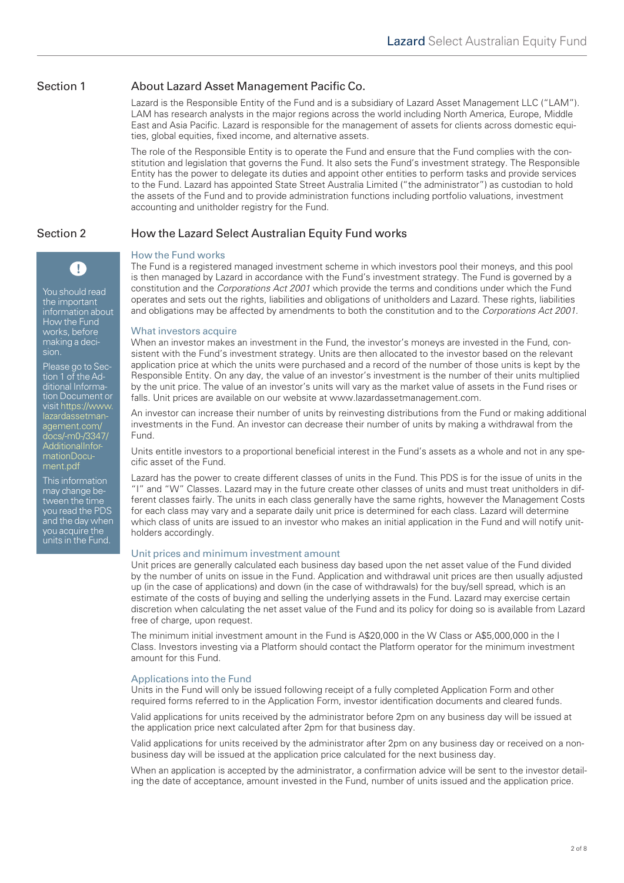### Section 1 About Lazard Asset Management Pacific Co.

Lazard is the Responsible Entity of the Fund and is a subsidiary of Lazard Asset Management LLC ("LAM"). LAM has research analysts in the major regions across the world including North America, Europe, Middle East and Asia Pacific. Lazard is responsible for the management of assets for clients across domestic equities, global equities, fixed income, and alternative assets.

The role of the Responsible Entity is to operate the Fund and ensure that the Fund complies with the constitution and legislation that governs the Fund. It also sets the Fund's investment strategy. The Responsible Entity has the power to delegate its duties and appoint other entities to perform tasks and provide services to the Fund. Lazard has appointed State Street Australia Limited ("the administrator") as custodian to hold the assets of the Fund and to provide administration functions including portfolio valuations, investment accounting and unitholder registry for the Fund.

### Section 2 How the Lazard Select Australian Equity Fund works

sion.

You should read the important information about How the Fund works, before making a deci-

Œ

Please go to Section 1 of the Additional Information Document or [visit https://www.](https://www.lazardassetmanagement.com/docs/-m0-/3347/AdditionalInformationDocument.pdf) lazardassetmanagement.com/ docs/-m0-/3347/ AdditionalInformationDocument.pdf This information may change between the time you read the PDS and the day when you acquire the units in the Fund.

# How the Fund works

The Fund is a registered managed investment scheme in which investors pool their moneys, and this pool is then managed by Lazard in accordance with the Fund's investment strategy. The Fund is governed by a constitution and the *Corporations Act 2001* which provide the terms and conditions under which the Fund operates and sets out the rights, liabilities and obligations of unitholders and Lazard. These rights, liabilities and obligations may be affected by amendments to both the constitution and to the *Corporations Act 2001.*

### What investors acquire

When an investor makes an investment in the Fund, the investor's moneys are invested in the Fund, consistent with the Fund's investment strategy. Units are then allocated to the investor based on the relevant application price at which the units were purchased and a record of the number of those units is kept by the Responsible Entity. On any day, the value of an investor's investment is the number of their units multiplied by the unit price. The value of an investor's units will vary as the market value of assets in the Fund rises or falls. Unit prices are available on our website at www.lazardassetmanagement.com.

An investor can increase their number of units by reinvesting distributions from the Fund or making additional investments in the Fund. An investor can decrease their number of units by making a withdrawal from the Fund.

Units entitle investors to a proportional beneficial interest in the Fund's assets as a whole and not in any specific asset of the Fund.

Lazard has the power to create different classes of units in the Fund. This PDS is for the issue of units in the "I" and "W" Classes. Lazard may in the future create other classes of units and must treat unitholders in different classes fairly. The units in each class generally have the same rights, however the Management Costs for each class may vary and a separate daily unit price is determined for each class. Lazard will determine which class of units are issued to an investor who makes an initial application in the Fund and will notify unitholders accordingly.

### Unit prices and minimum investment amount

Unit prices are generally calculated each business day based upon the net asset value of the Fund divided by the number of units on issue in the Fund. Application and withdrawal unit prices are then usually adjusted up (in the case of applications) and down (in the case of withdrawals) for the buy/sell spread, which is an estimate of the costs of buying and selling the underlying assets in the Fund. Lazard may exercise certain discretion when calculating the net asset value of the Fund and its policy for doing so is available from Lazard free of charge, upon request.

The minimum initial investment amount in the Fund is A\$20,000 in the W Class or A\$5,000,000 in the I Class. Investors investing via a Platform should contact the Platform operator for the minimum investment amount for this Fund.

### Applications into the Fund

Units in the Fund will only be issued following receipt of a fully completed Application Form and other required forms referred to in the Application Form, investor identification documents and cleared funds.

Valid applications for units received by the administrator before 2pm on any business day will be issued at the application price next calculated after 2pm for that business day.

Valid applications for units received by the administrator after 2pm on any business day or received on a nonbusiness day will be issued at the application price calculated for the next business day.

When an application is accepted by the administrator, a confirmation advice will be sent to the investor detailing the date of acceptance, amount invested in the Fund, number of units issued and the application price.

2 of 8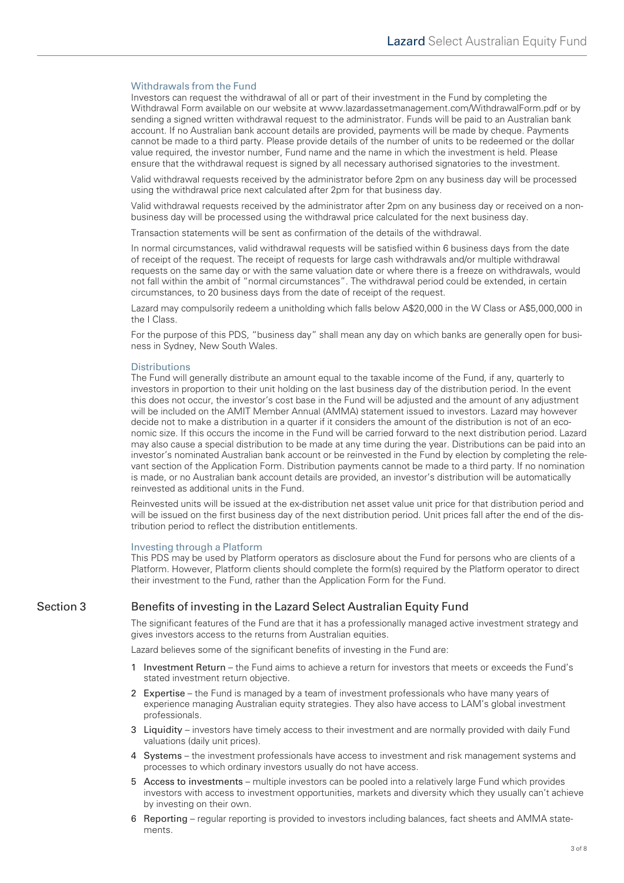### Withdrawals from the Fund

Investors can request the withdrawal of all or part of their investment in the Fund by completing the Withdrawal Form available on our website at [www.lazardassetmanagement.com/WithdrawalForm.pdf](https://www.lazardassetmanagement.com/docs/-m0-/24350/with-drawalform_en.pdf) or by sending a signed written withdrawal request to the administrator. Funds will be paid to an Australian bank account. If no Australian bank account details are provided, payments will be made by cheque. Payments cannot be made to a third party. Please provide details of the number of units to be redeemed or the dollar value required, the investor number, Fund name and the name in which the investment is held. Please ensure that the withdrawal request is signed by all necessary authorised signatories to the investment.

Valid withdrawal requests received by the administrator before 2pm on any business day will be processed using the withdrawal price next calculated after 2pm for that business day.

Valid withdrawal requests received by the administrator after 2pm on any business day or received on a nonbusiness day will be processed using the withdrawal price calculated for the next business day.

Transaction statements will be sent as confirmation of the details of the withdrawal.

In normal circumstances, valid withdrawal requests will be satisfied within 6 business days from the date of receipt of the request. The receipt of requests for large cash withdrawals and/or multiple withdrawal requests on the same day or with the same valuation date or where there is a freeze on withdrawals, would not fall within the ambit of "normal circumstances". The withdrawal period could be extended, in certain circumstances, to 20 business days from the date of receipt of the request.

Lazard may compulsorily redeem a unitholding which falls below A\$20,000 in the W Class or A\$5,000,000 in the I Class.

For the purpose of this PDS, "business day" shall mean any day on which banks are generally open for business in Sydney, New South Wales.

### **Distributions**

The Fund will generally distribute an amount equal to the taxable income of the Fund, if any, quarterly to investors in proportion to their unit holding on the last business day of the distribution period. In the event this does not occur, the investor's cost base in the Fund will be adjusted and the amount of any adjustment will be included on the AMIT Member Annual (AMMA) statement issued to investors. Lazard may however decide not to make a distribution in a quarter if it considers the amount of the distribution is not of an economic size. If this occurs the income in the Fund will be carried forward to the next distribution period. Lazard may also cause a special distribution to be made at any time during the year. Distributions can be paid into an investor's nominated Australian bank account or be reinvested in the Fund by election by completing the relevant section of the Application Form. Distribution payments cannot be made to a third party. If no nomination is made, or no Australian bank account details are provided, an investor's distribution will be automatically reinvested as additional units in the Fund.

Reinvested units will be issued at the ex-distribution net asset value unit price for that distribution period and will be issued on the first business day of the next distribution period. Unit prices fall after the end of the distribution period to reflect the distribution entitlements.

### Investing through a Platform

This PDS may be used by Platform operators as disclosure about the Fund for persons who are clients of a Platform. However, Platform clients should complete the form(s) required by the Platform operator to direct their investment to the Fund, rather than the Application Form for the Fund.

Section 3 Benefits of investing in the Lazard Select Australian Equity Fund

The significant features of the Fund are that it has a professionally managed active investment strategy and gives investors access to the returns from Australian equities.

Lazard believes some of the significant benefits of investing in the Fund are:

- 1 Investment Return the Fund aims to achieve a return for investors that meets or exceeds the Fund's stated investment return objective.
- 2 Expertise the Fund is managed by a team of investment professionals who have many years of experience managing Australian equity strategies. They also have access to LAM's global investment professionals.
- 3 Liquidity investors have timely access to their investment and are normally provided with daily Fund valuations (daily unit prices).
- 4 Systems the investment professionals have access to investment and risk management systems and processes to which ordinary investors usually do not have access.
- 5 Access to investments multiple investors can be pooled into a relatively large Fund which provides investors with access to investment opportunities, markets and diversity which they usually can't achieve by investing on their own.
- 6 Reporting regular reporting is provided to investors including balances, fact sheets and AMMA statements.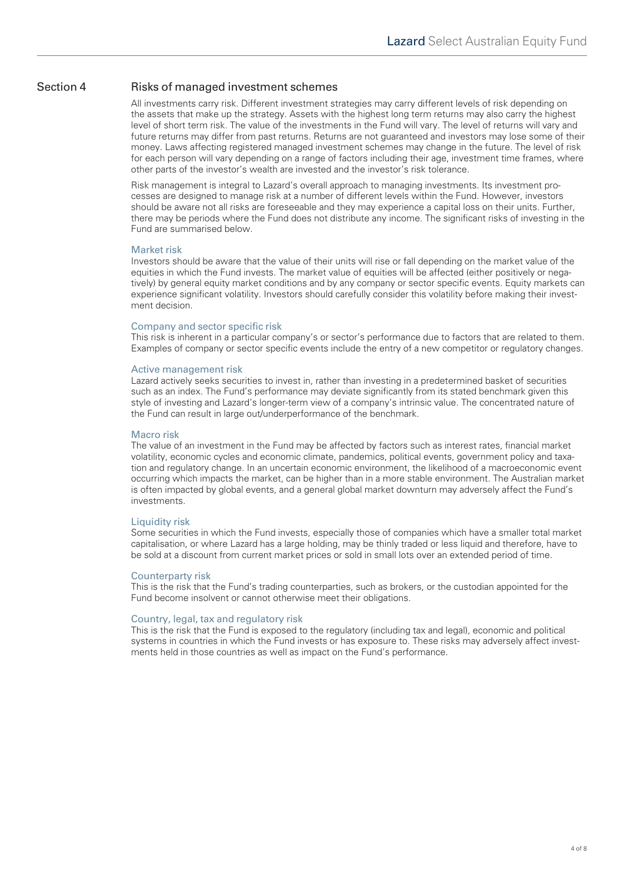### Section 4 Risks of managed investment schemes

All investments carry risk. Different investment strategies may carry different levels of risk depending on the assets that make up the strategy. Assets with the highest long term returns may also carry the highest level of short term risk. The value of the investments in the Fund will vary. The level of returns will vary and future returns may differ from past returns. Returns are not guaranteed and investors may lose some of their money. Laws affecting registered managed investment schemes may change in the future. The level of risk for each person will vary depending on a range of factors including their age, investment time frames, where other parts of the investor's wealth are invested and the investor's risk tolerance.

Risk management is integral to Lazard's overall approach to managing investments. Its investment processes are designed to manage risk at a number of different levels within the Fund. However, investors should be aware not all risks are foreseeable and they may experience a capital loss on their units. Further, there may be periods where the Fund does not distribute any income. The significant risks of investing in the Fund are summarised below.

### Market risk

Investors should be aware that the value of their units will rise or fall depending on the market value of the equities in which the Fund invests. The market value of equities will be affected (either positively or negatively) by general equity market conditions and by any company or sector specific events. Equity markets can experience significant volatility. Investors should carefully consider this volatility before making their investment decision.

### Company and sector specific risk

This risk is inherent in a particular company's or sector's performance due to factors that are related to them. Examples of company or sector specific events include the entry of a new competitor or regulatory changes.

### Active management risk

Lazard actively seeks securities to invest in, rather than investing in a predetermined basket of securities such as an index. The Fund's performance may deviate significantly from its stated benchmark given this style of investing and Lazard's longer-term view of a company's intrinsic value. The concentrated nature of the Fund can result in large out/underperformance of the benchmark.

### Macro risk

The value of an investment in the Fund may be affected by factors such as interest rates, financial market volatility, economic cycles and economic climate, pandemics, political events, government policy and taxation and regulatory change. In an uncertain economic environment, the likelihood of a macroeconomic event occurring which impacts the market, can be higher than in a more stable environment. The Australian market is often impacted by global events, and a general global market downturn may adversely affect the Fund's investments.

### Liquidity risk

Some securities in which the Fund invests, especially those of companies which have a smaller total market capitalisation, or where Lazard has a large holding, may be thinly traded or less liquid and therefore, have to be sold at a discount from current market prices or sold in small lots over an extended period of time.

### Counterparty risk

This is the risk that the Fund's trading counterparties, such as brokers, or the custodian appointed for the Fund become insolvent or cannot otherwise meet their obligations.

### Country, legal, tax and regulatory risk

This is the risk that the Fund is exposed to the regulatory (including tax and legal), economic and political systems in countries in which the Fund invests or has exposure to. These risks may adversely affect investments held in those countries as well as impact on the Fund's performance.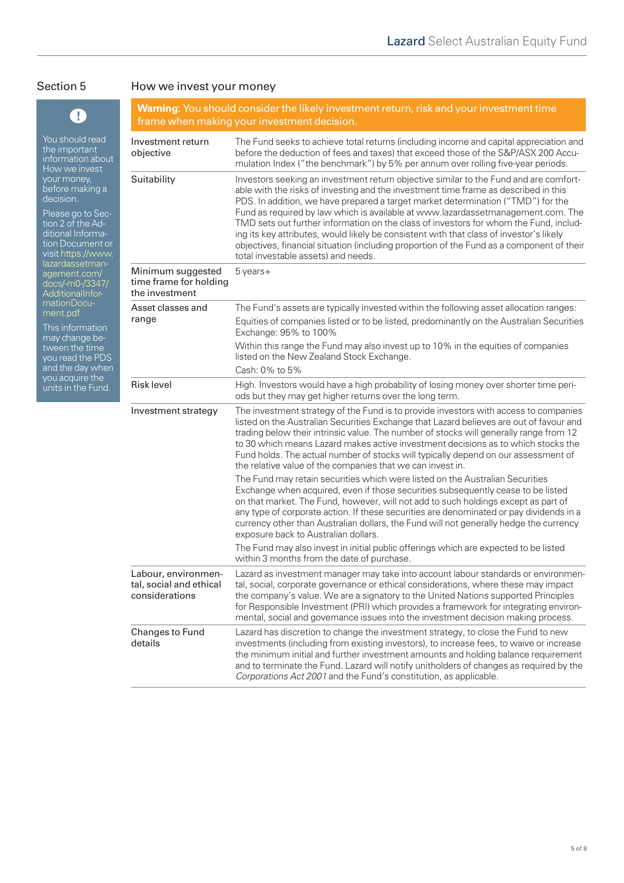## Section 5 How we invest your money

| T                                                                                                                                                                                                                                                                                                                                                                                                               | <b>Warning:</b> You should consider the likely investment return, risk and your investment time<br>frame when making your investment decision. |                                                                                                                                                                                                                                                                                                                                                                                                                                                                                                                                                                                                                                                                              |  |
|-----------------------------------------------------------------------------------------------------------------------------------------------------------------------------------------------------------------------------------------------------------------------------------------------------------------------------------------------------------------------------------------------------------------|------------------------------------------------------------------------------------------------------------------------------------------------|------------------------------------------------------------------------------------------------------------------------------------------------------------------------------------------------------------------------------------------------------------------------------------------------------------------------------------------------------------------------------------------------------------------------------------------------------------------------------------------------------------------------------------------------------------------------------------------------------------------------------------------------------------------------------|--|
| You should read<br>the important<br>information about<br>How we invest<br>your money,<br>before making a<br>decision.<br>Please go to Sec-<br>tion 2 of the Ad-<br>ditional Informa-<br>tion Document or<br>visit https://www.<br>lazardassetman-<br>agement.com/<br>docs/-m0-/3347/<br>AdditionalInfor-<br>mationDocu-<br>ment.pdf<br>This information<br>may change be-<br>tween the time<br>you read the PDS | Investment return<br>objective                                                                                                                 | The Fund seeks to achieve total returns (including income and capital appreciation and<br>before the deduction of fees and taxes) that exceed those of the S&P/ASX 200 Accu-<br>mulation Index ("the benchmark") by 5% per annum over rolling five-year periods.                                                                                                                                                                                                                                                                                                                                                                                                             |  |
|                                                                                                                                                                                                                                                                                                                                                                                                                 | Suitability                                                                                                                                    | Investors seeking an investment return objective similar to the Fund and are comfort-<br>able with the risks of investing and the investment time frame as described in this<br>PDS. In addition, we have prepared a target market determination ("TMD") for the<br>Fund as required by law which is available at www.lazardassetmanagement.com. The<br>TMD sets out further information on the class of investors for whom the Fund, includ-<br>ing its key attributes, would likely be consistent with that class of investor's likely<br>objectives, financial situation (including proportion of the Fund as a component of their<br>total investable assets) and needs. |  |
|                                                                                                                                                                                                                                                                                                                                                                                                                 | Minimum suggested<br>time frame for holding<br>the investment                                                                                  | 5 years+                                                                                                                                                                                                                                                                                                                                                                                                                                                                                                                                                                                                                                                                     |  |
|                                                                                                                                                                                                                                                                                                                                                                                                                 | Asset classes and                                                                                                                              | The Fund's assets are typically invested within the following asset allocation ranges:                                                                                                                                                                                                                                                                                                                                                                                                                                                                                                                                                                                       |  |
|                                                                                                                                                                                                                                                                                                                                                                                                                 | range                                                                                                                                          | Equities of companies listed or to be listed, predominantly on the Australian Securities<br>Exchange: 95% to 100%                                                                                                                                                                                                                                                                                                                                                                                                                                                                                                                                                            |  |
|                                                                                                                                                                                                                                                                                                                                                                                                                 |                                                                                                                                                | Within this range the Fund may also invest up to 10% in the equities of companies<br>listed on the New Zealand Stock Exchange.                                                                                                                                                                                                                                                                                                                                                                                                                                                                                                                                               |  |
| and the day when<br>you acquire the                                                                                                                                                                                                                                                                                                                                                                             |                                                                                                                                                | Cash: 0% to 5%                                                                                                                                                                                                                                                                                                                                                                                                                                                                                                                                                                                                                                                               |  |
| units in the Fund.                                                                                                                                                                                                                                                                                                                                                                                              | <b>Risk level</b>                                                                                                                              | High. Investors would have a high probability of losing money over shorter time peri-<br>ods but they may get higher returns over the long term.                                                                                                                                                                                                                                                                                                                                                                                                                                                                                                                             |  |
|                                                                                                                                                                                                                                                                                                                                                                                                                 | Investment strategy                                                                                                                            | The investment strategy of the Fund is to provide investors with access to companies<br>listed on the Australian Securities Exchange that Lazard believes are out of favour and<br>trading below their intrinsic value. The number of stocks will generally range from 12<br>to 30 which means Lazard makes active investment decisions as to which stocks the<br>Fund holds. The actual number of stocks will typically depend on our assessment of<br>the relative value of the companies that we can invest in.                                                                                                                                                           |  |
|                                                                                                                                                                                                                                                                                                                                                                                                                 |                                                                                                                                                | The Fund may retain securities which were listed on the Australian Securities<br>Exchange when acquired, even if those securities subsequently cease to be listed<br>on that market. The Fund, however, will not add to such holdings except as part of<br>any type of corporate action. If these securities are denominated or pay dividends in a<br>currency other than Australian dollars, the Fund will not generally hedge the currency<br>exposure back to Australian dollars.<br>The Fund may also invest in initial public offerings which are expected to be listed                                                                                                 |  |
|                                                                                                                                                                                                                                                                                                                                                                                                                 |                                                                                                                                                | within 3 months from the date of purchase.                                                                                                                                                                                                                                                                                                                                                                                                                                                                                                                                                                                                                                   |  |
|                                                                                                                                                                                                                                                                                                                                                                                                                 | Labour, environmen-<br>tal, social and ethical<br>considerations                                                                               | Lazard as investment manager may take into account labour standards or environmen-<br>tal, social, corporate governance or ethical considerations, where these may impact<br>the company's value. We are a signatory to the United Nations supported Principles<br>for Responsible Investment (PRI) which provides a framework for integrating environ-<br>mental, social and governance issues into the investment decision making process.                                                                                                                                                                                                                                 |  |
|                                                                                                                                                                                                                                                                                                                                                                                                                 | Changes to Fund<br>details                                                                                                                     | Lazard has discretion to change the investment strategy, to close the Fund to new<br>investments (including from existing investors), to increase fees, to waive or increase<br>the minimum initial and further investment amounts and holding balance requirement<br>and to terminate the Fund. Lazard will notify unitholders of changes as required by the<br>Corporations Act 2001 and the Fund's constitution, as applicable.                                                                                                                                                                                                                                           |  |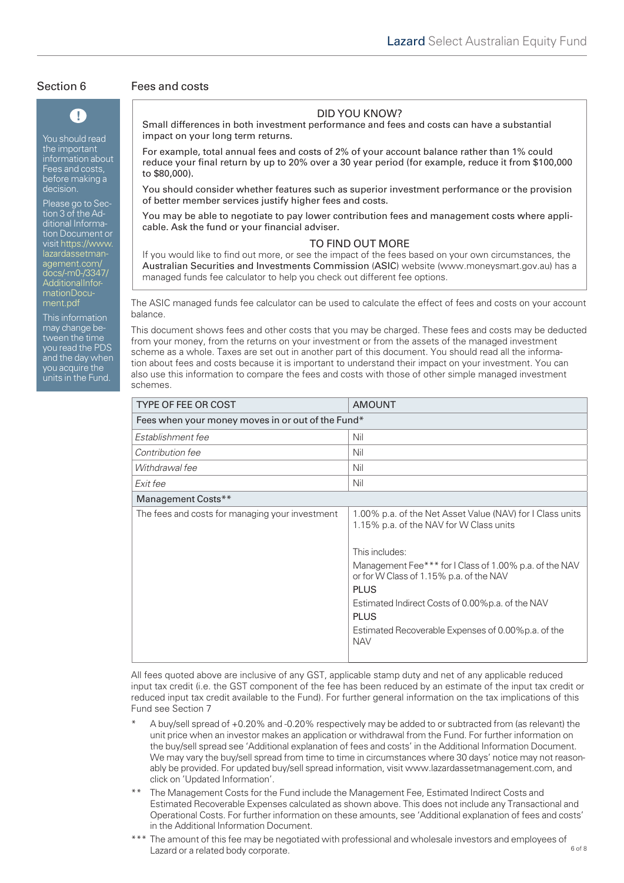# T

You should read the important information about Fees and costs, before making a decision.

Please go to Section 3 of the Additional Information Document or visit https://www. lazardassetmanagement.com/ [docs/-m0-/3347/](https://www.lazardassetmanagement.com/docs/-m0-/3347/AdditionalInformationDocument.pdf) AdditionalInformationDocument.pdf

This information may change between the time you read the PDS and the day when you acquire the units in the Fund.

### Section 6 Fees and costs

### DID YOU KNOW?

Small differences in both investment performance and fees and costs can have a substantial impact on your long term returns.

For example, total annual fees and costs of 2% of your account balance rather than 1% could reduce your final return by up to 20% over a 30 year period (for example, reduce it from \$100,000 to \$80,000).

You should consider whether features such as superior investment performance or the provision of better member services justify higher fees and costs.

You may be able to negotiate to pay lower contribution fees and management costs where applicable. Ask the fund or your financial adviser.

### TO FIND OUT MORE

If you would like to find out more, or see the impact of the fees based on your own circumstances, the Australian Securities and Investments Commission (ASIC) website (www.moneysmart.gov.au) has a managed funds fee calculator to help you check out different fee options.

The ASIC managed funds fee calculator can be used to calculate the effect of fees and costs on your account balance.

This document shows fees and other costs that you may be charged. These fees and costs may be deducted from your money, from the returns on your investment or from the assets of the managed investment scheme as a whole. Taxes are set out in another part of this document. You should read all the information about fees and costs because it is important to understand their impact on your investment. You can also use this information to compare the fees and costs with those of other simple managed investment schemes.

| <b>TYPE OF FEE OR COST</b>                        | <b>AMOUNT</b>                                                                                                                                                                                                                                                                                                                                                                       |  |  |  |
|---------------------------------------------------|-------------------------------------------------------------------------------------------------------------------------------------------------------------------------------------------------------------------------------------------------------------------------------------------------------------------------------------------------------------------------------------|--|--|--|
| Fees when your money moves in or out of the Fund* |                                                                                                                                                                                                                                                                                                                                                                                     |  |  |  |
| Establishment fee                                 | Nil                                                                                                                                                                                                                                                                                                                                                                                 |  |  |  |
| Contribution fee                                  | Nil                                                                                                                                                                                                                                                                                                                                                                                 |  |  |  |
| Withdrawal fee                                    | Nil                                                                                                                                                                                                                                                                                                                                                                                 |  |  |  |
| Exit fee                                          | Nil                                                                                                                                                                                                                                                                                                                                                                                 |  |  |  |
| Management Costs**                                |                                                                                                                                                                                                                                                                                                                                                                                     |  |  |  |
| The fees and costs for managing your investment   | 1.00% p.a. of the Net Asset Value (NAV) for I Class units<br>1.15% p.a. of the NAV for W Class units<br>This includes:<br>Management Fee*** for I Class of 1.00% p.a. of the NAV<br>or for W Class of 1.15% p.a. of the NAV<br><b>PLUS</b><br>Estimated Indirect Costs of 0.00% p.a. of the NAV<br><b>PLUS</b><br>Estimated Recoverable Expenses of 0.00% p.a. of the<br><b>NAV</b> |  |  |  |

All fees quoted above are inclusive of any GST, applicable stamp duty and net of any applicable reduced input tax credit (i.e. the GST component of the fee has been reduced by an estimate of the input tax credit or reduced input tax credit available to the Fund). For further general information on the tax implications of this Fund see Section 7

- A buy/sell spread of +0.20% and -0.20% respectively may be added to or subtracted from (as relevant) the unit price when an investor makes an application or withdrawal from the Fund. For further information on the buy/sell spread see 'Additional explanation of fees and costs' in the Additional Information Document. We may vary the buy/sell spread from time to time in circumstances where 30 days' notice may not reasonably be provided. For updated buy/sell spread information, visit www.lazardassetmanagement.com, and click on 'Updated Information'.
- The Management Costs for the Fund include the Management Fee, Estimated Indirect Costs and Estimated Recoverable Expenses calculated as shown above. This does not include any Transactional and Operational Costs. For further information on these amounts, see 'Additional explanation of fees and costs' in the Additional Information Document.
- \*\*\* The amount of this fee may be negotiated with professional and wholesale investors and employees of Lazard or a related body corporate.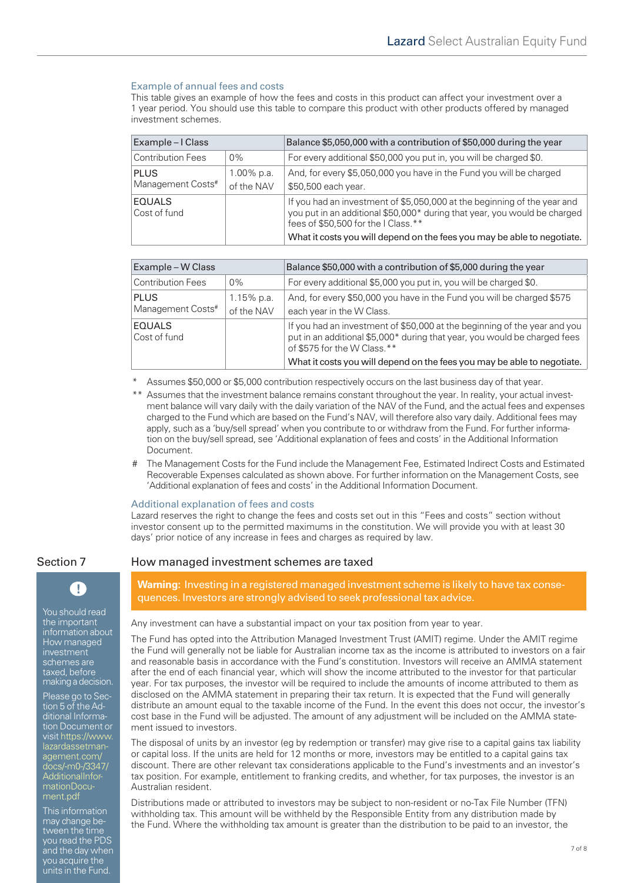### Example of annual fees and costs

This table gives an example of how the fees and costs in this product can affect your investment over a 1 year period. You should use this table to compare this product with other products offered by managed investment schemes.

| Example – I Class                |                          | Balance \$5,050,000 with a contribution of \$50,000 during the year                                                                                                                                                                                                     |
|----------------------------------|--------------------------|-------------------------------------------------------------------------------------------------------------------------------------------------------------------------------------------------------------------------------------------------------------------------|
| <b>Contribution Fees</b>         | $0\%$                    | For every additional \$50,000 you put in, you will be charged \$0.                                                                                                                                                                                                      |
| <b>PLUS</b><br>Management Costs# | 1.00% p.a.<br>of the NAV | And, for every \$5,050,000 you have in the Fund you will be charged<br>\$50,500 each year.                                                                                                                                                                              |
| <b>EQUALS</b><br>Cost of fund    |                          | If you had an investment of \$5,050,000 at the beginning of the year and<br>you put in an additional \$50,000* during that year, you would be charged<br>fees of \$50,500 for the I Class.**<br>What it costs you will depend on the fees you may be able to negotiate. |

| Example - W Class                |                             | Balance \$50,000 with a contribution of \$5,000 during the year                                                                                                                                                                                                  |
|----------------------------------|-----------------------------|------------------------------------------------------------------------------------------------------------------------------------------------------------------------------------------------------------------------------------------------------------------|
| <b>Contribution Fees</b>         | $0\%$                       | For every additional \$5,000 you put in, you will be charged \$0.                                                                                                                                                                                                |
| <b>PLUS</b><br>Management Costs# | $1.15\%$ p.a.<br>of the NAV | And, for every \$50,000 you have in the Fund you will be charged \$575<br>each year in the W Class.                                                                                                                                                              |
| <b>EQUALS</b><br>Cost of fund    |                             | If you had an investment of \$50,000 at the beginning of the year and you<br>put in an additional \$5,000* during that year, you would be charged fees<br>of \$575 for the W Class.**<br>What it costs you will depend on the fees you may be able to negotiate. |

Assumes \$50,000 or \$5,000 contribution respectively occurs on the last business day of that year.

- \*\* Assumes that the investment balance remains constant throughout the year. In reality, your actual investment balance will vary daily with the daily variation of the NAV of the Fund, and the actual fees and expenses charged to the Fund which are based on the Fund's NAV, will therefore also vary daily. Additional fees may apply, such as a 'buy/sell spread' when you contribute to or withdraw from the Fund. For further information on the buy/sell spread, see 'Additional explanation of fees and costs' in the Additional Information Document.
- # The Management Costs for the Fund include the Management Fee, Estimated Indirect Costs and Estimated Recoverable Expenses calculated as shown above. For further information on the Management Costs, see 'Additional explanation of fees and costs' in the Additional Information Document.

### Additional explanation of fees and costs

Lazard reserves the right to change the fees and costs set out in this "Fees and costs" section without investor consent up to the permitted maximums in the constitution. We will provide you with at least 30 days' prior notice of any increase in fees and charges as required by law.



You should read the important information about How managed investment schemes are taxed, before making a decision.

Please go to Section 5 of the Additional Information Document or [visit https://www.](https://www.lazardassetmanagement.com/docs/-m0-/3347/AdditionalInformationDocument.pdf) lazardassetmanagement.com/ docs/-m0-/3347/ AdditionalInformationDocument.pdf

This information may change between the time you read the PDS and the day when you acquire the units in the Fund.

### Section 7 How managed investment schemes are taxed

**Warning:** Investing in a registered managed investment scheme is likely to have tax consequences. Investors are strongly advised to seek professional tax advice.

Any investment can have a substantial impact on your tax position from year to year.

The Fund has opted into the Attribution Managed Investment Trust (AMIT) regime. Under the AMIT regime the Fund will generally not be liable for Australian income tax as the income is attributed to investors on a fair and reasonable basis in accordance with the Fund's constitution. Investors will receive an AMMA statement after the end of each financial year, which will show the income attributed to the investor for that particular year. For tax purposes, the investor will be required to include the amounts of income attributed to them as disclosed on the AMMA statement in preparing their tax return. It is expected that the Fund will generally distribute an amount equal to the taxable income of the Fund. In the event this does not occur, the investor's cost base in the Fund will be adjusted. The amount of any adjustment will be included on the AMMA statement issued to investors.

The disposal of units by an investor (eg by redemption or transfer) may give rise to a capital gains tax liability or capital loss. If the units are held for 12 months or more, investors may be entitled to a capital gains tax discount. There are other relevant tax considerations applicable to the Fund's investments and an investor's tax position. For example, entitlement to franking credits, and whether, for tax purposes, the investor is an Australian resident.

Distributions made or attributed to investors may be subject to non-resident or no-Tax File Number (TFN) withholding tax. This amount will be withheld by the Responsible Entity from any distribution made by the Fund. Where the withholding tax amount is greater than the distribution to be paid to an investor, the